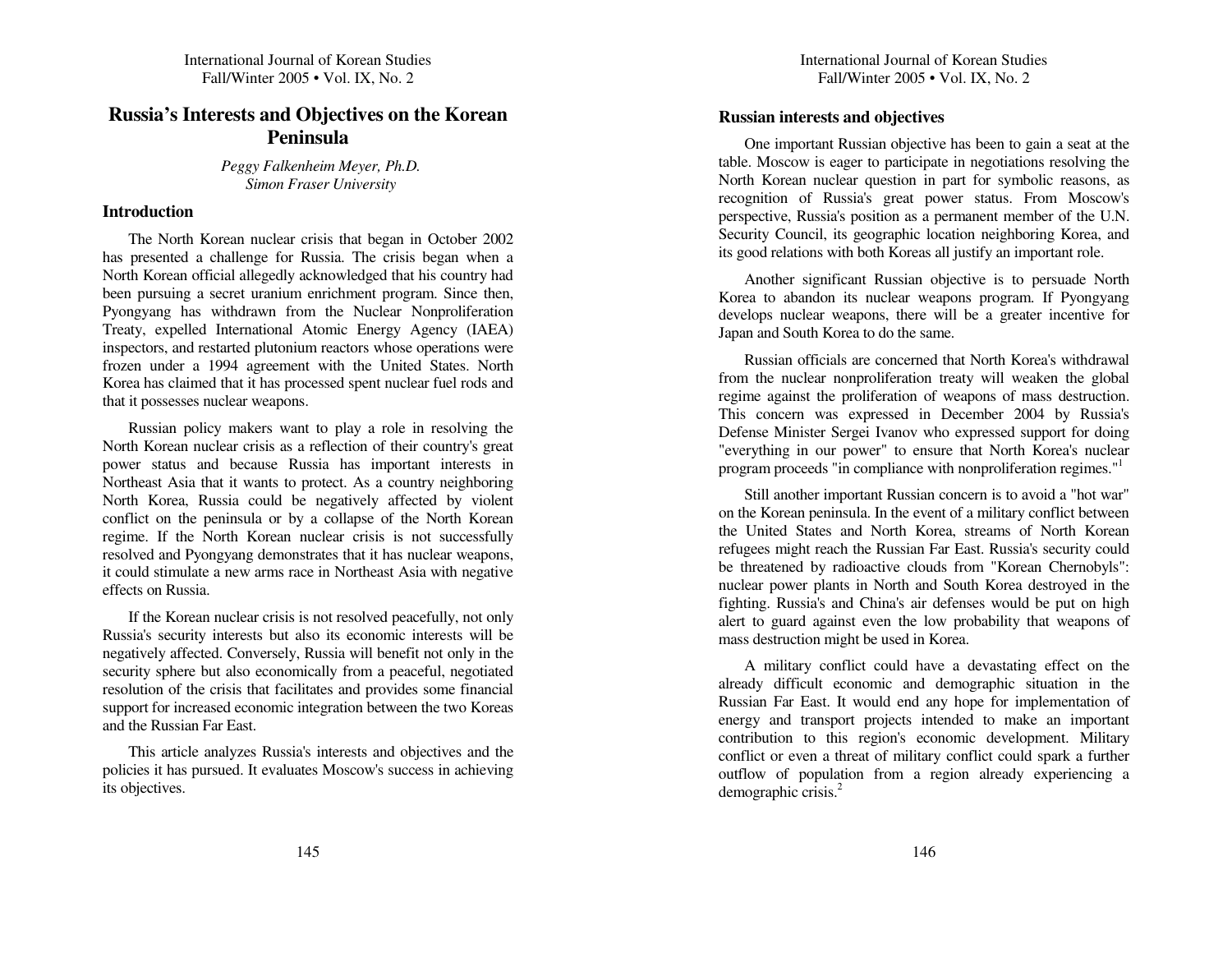# **Russia's Interests and Objectives on the Korean Peninsula**

*Peg gy Falken heim Meyer, Ph.D. SimonFraser University*

#### **Introduction**

The North Korean nuclear crisis that began in October 2002 has presented <sup>a</sup> challenge for R ussia. T he crisis began w hen a North Korean official allegedly acknowledged that his cou ntry had been p ursuing <sup>a</sup> secret uraniu m enrich ment program. Since then, Pyongyang has with drawn from the N uclear Non proliferation Treaty, ex pelled International Atomic E nergy Agency (IA E A) inspectors, an d restarted plutoniu m reactors w hose operations were frozen under a 1994 agreement with the United States. North Korea has claimed that it has processed spen<sup>t</sup> <sup>n</sup> uclear fuel rods an d that it possesses nuclear weapons.

Russian policy makers want to play <sup>a</sup> role in resolving the North Korean n uclear crisis as a reflection of their cou ntry's great power status an d because R ussia has important interests in Northeast Asia that it wants to protect. As a country neighboring North Korea, R ussia could be negatively affected b y violent conflict on the peninsula or b y <sup>a</sup> collapse of the North Korean regime. If the North Korean nuclear crisis is not successfully resolved an d P yongyang demonstrates that it has <sup>n</sup> uclear weapons, it could stimulate <sup>a</sup> new arms race in Northeast Asia with negative effects on Russia.

If the Korean n uclear crisis is not resolved peacefully, not only R ussia's security interests b ut also its economic interests will be negatively affected. Con versely, R ussia will benefit not only in the security sp here b ut also economically from <sup>a</sup> peaceful, negotiated resolution of the crisis that facilitates an d provides some financial su p por<sup>t</sup> for increased economic integration between the two Koreas and the Russian Far East.

T his article analyzes R ussia's interests an d objectives an d the policies it has p ursued. It evaluates Moscow's success in achieving its objectives.

# **Russian interests <sup>a</sup> ndobjectives**

One important R ussian objective has been to gain <sup>a</sup> seat at the table. Moscow is eager to participate in negotiations resolving the North Korean n uclear q uestion in par<sup>t</sup> for sy mbolic reasons, as recognition of R ussia's great power status. From Moscow's perspective, R ussia's position as <sup>a</sup> permanen<sup>t</sup> member of the U.N. Security Council, its geographic location neighboring Korea, and its good relations with both Koreas all justify an important role.

A nother significant R ussian objective is to persuade North Korea to aban don its <sup>n</sup> uclear weapons program. If P yongyang develops <sup>n</sup> uclear weapons, there will be <sup>a</sup> greater incentive for Japan an d South Korea to do the same.

Russian officials are concerned that North Korea's withdrawalfrom the <sup>n</sup> uclear nonproliferation treaty will weaken the global regime against the proliferation of weapons of mass destruction. T his concern was ex pressed in December 2 0 0 4 b y R ussia's Defense Minister Sergei Ivanov w ho expressed su p port for doing "everything in our power" to ensure that North Korea's n uclear program proceeds "in compliance with nonproliferation regimes."<sup>1</sup>

Still another important R ussian concern is to avoid <sup>a</sup> "hot war" on the Korean peninsula. In the event of <sup>a</sup> military conflict between the United States and North Korea, streams of North Korean refugees might reach the Russian Far East. Russia's security could be threatened by radioactive clouds from "Korean Chernobyls": n uclear power plants in North an d South Korea destroyed in the fighting. R ussia's an d China's air defenses would be p ut on high alert to guard against even the low probability that weapons of mass destruction might be used in Korea.

A military conflict could have <sup>a</sup> devastating effect on the already difficult economic and demographic situation in the R ussian Far East. It would en d an y hope for implementation of energy an d transport projects inten ded to make an important contrib ution to this region's economic develop ment. Military conflict or even <sup>a</sup> threat of military conflict could spark <sup>a</sup> further outflow of pop ulation from <sup>a</sup> region alread y ex periencing <sup>a</sup> demograp hic crisis. 2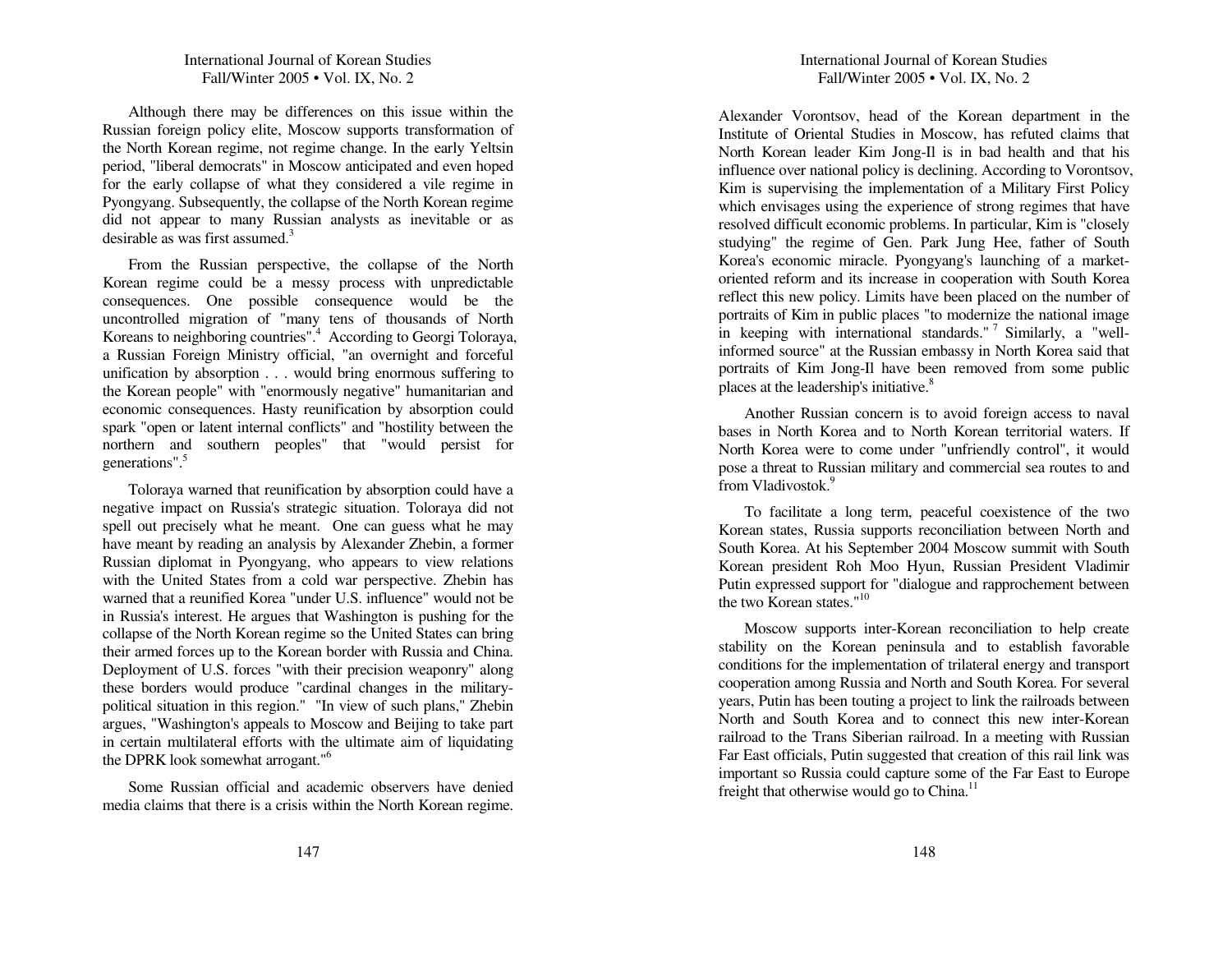Although there may be differences on this issue within the R ussian foreign policy elite, Moscow su p ports transformation of the North Korean regime, not regime change. In the early Yeltsin period, "liberal democrats" in Moscow anticipated an d even hoped for the early collapse of <sup>w</sup> hat they considered <sup>a</sup> vile regime in Pyongyang. S ubsequently, the collapse of the North Korean regime did not ap pear to man y R ussian analysts as inevitable or as desirable as was first assumed.<sup>3</sup>

From the R ussian perspective, the collapse of the North Korean regime could be <sup>a</sup> messy process with u n predictable conseq uences. One possible conseq uence would be the uncontrolled migration of "many tens of thousands of North Koreans to neighboring countries".<sup>4</sup> According to Georgi Toloraya, a R ussian Foreign Ministry official, "an overnight an d forceful u nification b y absorption . . . would bring enormous suffering to the Korean people" with "enormously negative" humanitarian and economic conseq uences. Hasty reu nification b y absorption could spark "open or latent internal conflicts" an d "hostility between the northern an d southern peoples" that "would persist for generations". 5

Toloraya warned that reu nification b y absorption could have a negative impact on R ussia's strategic situation. Toloraya did not spell out precisely what he meant. One can guess <sup>w</sup> hat he may have meant by reading an analysis b y Alexander Zhebin, <sup>a</sup> former R ussian diplomat in P yongyang, <sup>w</sup> ho ap pears to view relations with the U nited States from <sup>a</sup> cold war perspective. Z hebin has warned that <sup>a</sup> reu nified Korea "u n der U.S. influence" would not be in Russia's interest. He argues that Washington is pushing for the collapse of the North Korean regime so the U nited States can bring their armed forces <sup>u</sup> p to the Korean border with R ussia an d C hina. Deploy ment of U.S. forces "with their precision weaponry" along these borders would prod uce "cardinal changes in the militarypolitical situation in this region." "In view of such plans," Z hebin argues, "Washington's ap peals to Moscow an d Beijing to take part in certain multilateral efforts with the ultimate aim of liq uidating the DPRK look somewhat arrogant."<sup>6</sup>

Some Russian official an d academic observers have denied media claims that there is <sup>a</sup> crisis within the North Korean regime.

# International Journal of Korean Studies Fall/Winter 2005 • Vol. IX, No. 2

Alexan der Vorontsov, head of the Korean department in the Institute of Oriental Studies in Moscow, has refuted claims that North Korean leader Kim Jong-Il is in bad health an d that his influence over national policy is declining. According to Vorontsov, Kim is su pervising the implementation of <sup>a</sup> Military First Policy which en visages using the ex perience of strong regimes that have resolved difficult economic problems. In particular, Kim is "closely stu d ying" the regime of Gen. Park Ju ng Hee, father of South Korea's economic miracle. P yongyang's lau nching of <sup>a</sup> marketoriented reform an d its increase in cooperation with South Korea reflect this new policy. Limits have been placed on the number of portraits of Kim in public places "to modernize the national image in keeping with international standards."<sup>7</sup> Similarly, a "wellinformed source" at the R ussian embassy in North Korea said that portraits of Kim Jong-Il have been removed from some p ublicplaces at the leadership's initiative.<sup>8</sup>

A nother Russian concern is to avoid foreign access to naval bases in North Korea and to North Korean territorial waters. If North Korea were to come u n der "u nfrien dly control", it would pose <sup>a</sup> threat to Russian military an d commercial sea routes to an d from Vladivostok.<sup>9</sup>

To facilitate <sup>a</sup> long term, peaceful coexistence of the two Korean states, R ussia sup ports reconciliation between North an d South Korea. At his September 2004 Moscow summit with South Korean president Roh Moo H yu n, R ussian President Vladimir P utin expressed sup port for "dialogue an d rap prochement between the two Korean states."<sup>10</sup>

Moscow su p ports inter-Korean reconciliation to help create stability on the Korean peninsula an d to establish favorable conditions for the implementation of trilateral energy an d transport cooperation among R ussia an d North an d South Korea. For several years, Putin has been touting <sup>a</sup> project to lin k the railroads between North and South Korea and to connect this new inter-Korean railroad to the Trans Siberian railroad. In <sup>a</sup> meeting with Russian Far East officials, Putin suggested that creation of this rail lin k was important so R ussia could capture some of the Far East to E urope freight that otherwise would go to China.<sup>11</sup>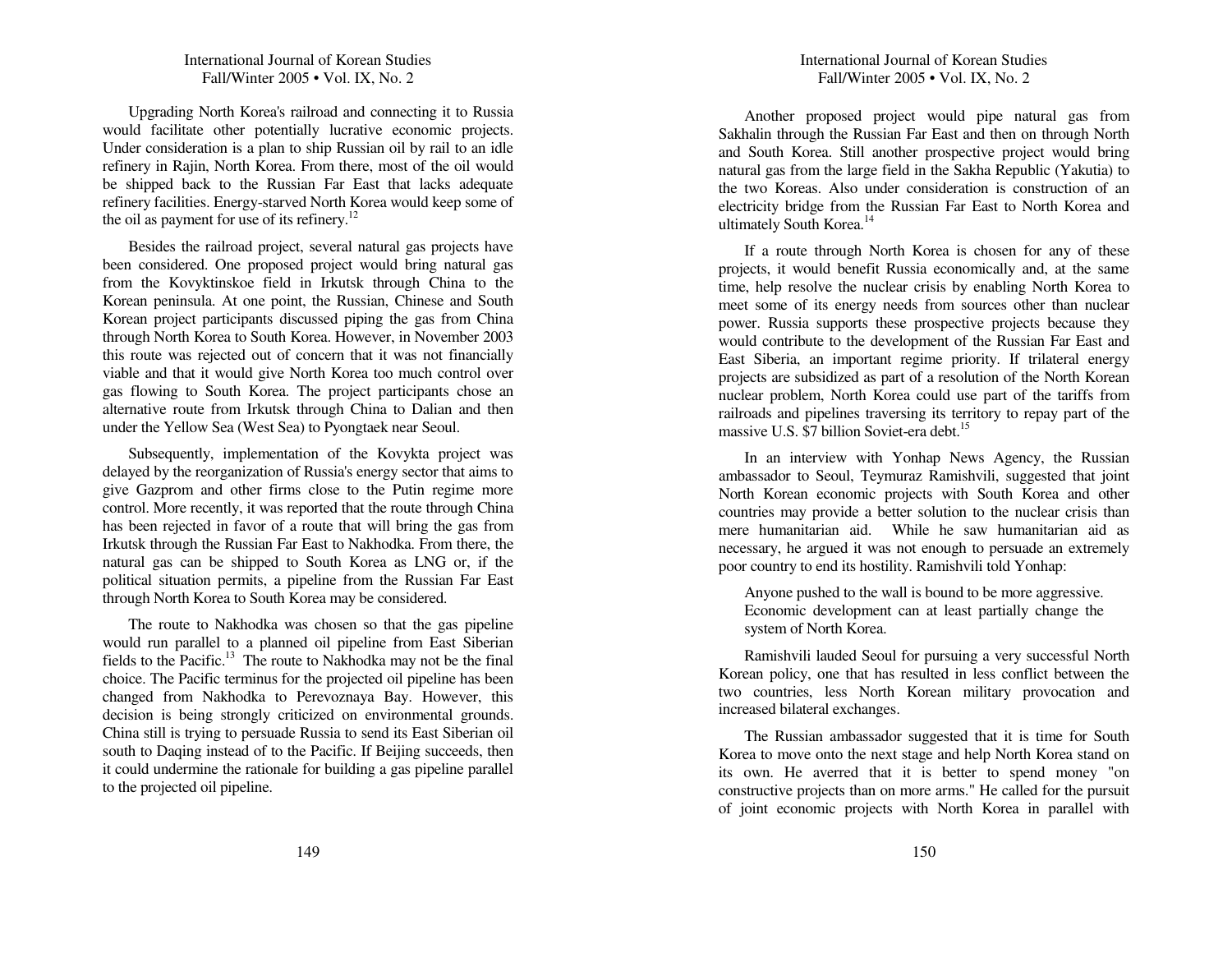Upgrading North Korea's railroad an d con necting it to R ussia would facilitate other potentially lucrative economic projects. Under consideration is a plan to ship Russian oil by rail to an idle refinery in Rajin, North Korea. From there, most of the oil would be ship ped back to the Russian Far East that lacks adeq uate refinery facilities. E nergy-starved North Korea would keep some of the oil as payment for use of its refinery.<sup>12</sup>

Besides the railroad project, several natural gas projects have been considered. One proposed project would bring natural gas from the Kov y ktinskoe field in Irkutsk through C hina to the Korean peninsula. At one point, the R ussian, C hinese an d South Korean project participants discussed piping the gas from C hina through North Korea to South Korea. However, in November 2 0 03 this route was rejected out of concern that it was not financially viable an d that it would give North Korea too much control over gas flowing to South Korea. T he project participants chose an alternative route from Irkutsk through C hina to Dalian an d then under the Yellow Sea (West Sea) to Pyongtaek near Seoul.

Subsequently, implementation of the Kovykta project was delayed b y the reorganization of Russia's energy sector that aims to give Gazprom an d other firms close to the P utin regime more control. More recently, it was reported that the route through C hina has been rejected in favor of <sup>a</sup> route that will bring the gas from Irkutsk through the Russian Far East to Nakhod ka. From there, the natural gas can be ship ped to South Korea as L NG or, if the political situation permits, <sup>a</sup> pipeline from the R ussian Far East through North Korea to South Korea may be considered.

T he route to Nakhod ka was chosen so that the gas pipeline would ru n parallel to <sup>a</sup> plan ned oil pipeline from East Siberian fields to the Pacific.<sup>13</sup> The route to Nakhodka may not be the final choice. T he Pacific termin us for the projected oil pipeline has been changed from Nakhod ka to Perevoznaya Bay. However, this decision is being strongly criticized on environmental grounds. China still is trying to persuade R ussia to sen d its East Siberian oil south to Daqing instead of to the Pacific. If Beijing succeeds, then it could u n dermine the rationale for b uilding <sup>a</sup> gas pipeline parallel to the projected oil pipeline.

A nother proposed project would pipe natural gas from Sakhalin through the R ussian Far East an d then on through North an d South Korea. Still another prospective project would bring natural gas from the large field in the Sakha Rep u blic (Yakutia) to the two Koreas. Also <sup>u</sup> n der consideration is construction of an electricity bridge from the R ussian Far East to North Korea an d ultimately South Korea. 14

If a route through North Korea is chosen for an y of these projects, it would benefit Russia economically an d, at the same time, help resolve the <sup>n</sup> uclear crisis b y enabling North Korea to meet some of its energy needs from sources other than nuclear power. R ussia sup ports these prospective projects because they would contrib ute to the develop ment of the R ussian Far East an d East Siberia, an important regime priority. If trilateral energy projects are su bsidized as par<sup>t</sup> of <sup>a</sup> resolution of the North Korean n uclear problem, North Korea could use par<sup>t</sup> of the tariffs from railroads an d pipelines traversing its territory to repay par<sup>t</sup> of the massive U.S. \$7 billion Soviet-era debt. 15

In an interview with Yonhap News Agency, the Russian ambassador to Seoul, Tey muraz Ramish vili, suggested that joint North Korean economic projects with South Korea an d other cou ntries may provide <sup>a</sup> better solution to the <sup>n</sup> uclear crisis than mere h u manitarian aid. W hile he saw h u manitarian aid as necessary, he argued it was not enough to persuade an extremely poor cou ntry to en d its hostility. Ramish vili told Yon hap:

A n yone p ushed to the wall is bou n d to be more aggressive. Economic develop ment can at least partially change the system of North Korea.

Ramish vili lau ded Seoul for p ursuing <sup>a</sup> very successful North Korean policy, one that has resulted in less conflict between the two cou ntries, less North Korean military provocation an d increased bilateral exchanges.

T he R ussian ambassador suggested that it is time for South Korea to move onto the next stage an d help North Korea stan d on its own. He averred that it is better to spend money "on constructive projects than on more arms." He called for the p ursuit of joint economic projects with North Korea in parallel with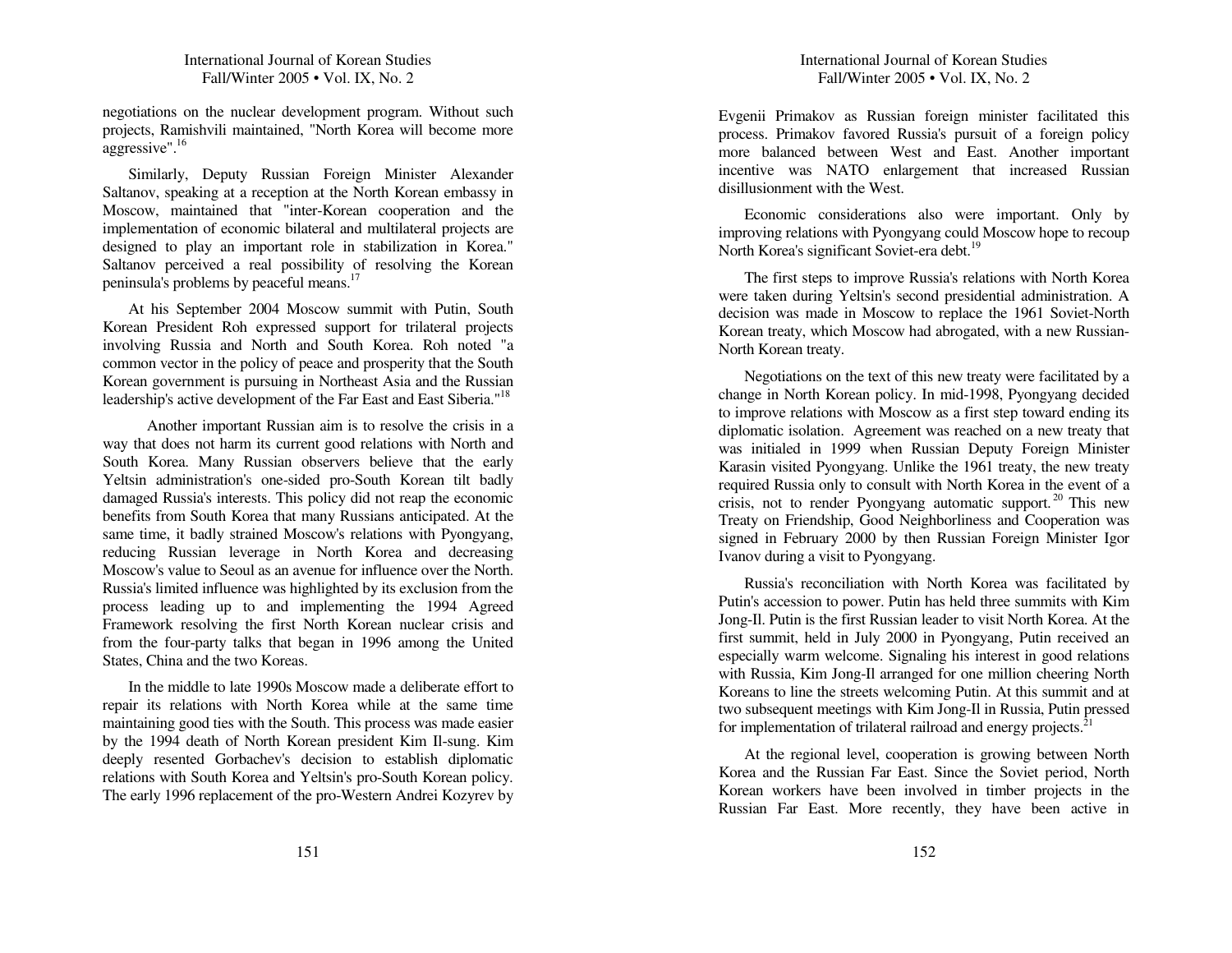negotiations on the <sup>n</sup> uclear develop ment program. Without such projects, Ramish vili maintained, "North Korea will become more aggressive". 16

Similarly, Dep uty R ussian Foreign Minister Alexan der Saltanov, speaking at <sup>a</sup> reception at the North Korean embassy in Moscow, maintained that "inter-Korean cooperation an d the implementation of economic bilateral an d multilateral projects are designed to play an important role in stabilization in Korea." Saltanov perceived a real possibility of resolving the Korean peninsula's problems b y peaceful means. 17

At his September 2004 Moscow summit with Putin, South Korean President Roh expressed sup por<sup>t</sup> for trilateral projects involving Russia and North and South Korea. Roh noted "a common vector in the policy of peace an d prosperity that the South Korean govern ment is p ursuing in Northeast Asia an d the R ussian leadership's active development of the Far East and East Siberia."<sup>18</sup>

A nother important Russian aim is to resolve the crisis in <sup>a</sup> way that does not harm its current good relations with North an d South Korea. Man y R ussian observers believe that the early Yeltsin ad ministration's one-sided pro-South Korean tilt badly damaged R ussia's interests. T his policy did not reap the economic benefits from South Korea that many Russians anticipated. At the same time, it badly strained Moscow's relations with Pyongyang, red ucing Russian leverage in North Korea an d decreasing Moscow's value to Seoul as an aven ue for influence over the North. R ussia's limited influence was highlighted b y its exclusion from the process leading <sup>u</sup> p to an d implementing the 1994 Agreed Framework resolving the first North Korean n uclear crisis an d from the four-party talks that began in 1996 among the U nited States, C hina and the two Koreas.

In the mid dle to late 1990s Moscowmade <sup>a</sup> deliberate effort torepair its relations with North Korea w hile at the same time maintaining good ties with the South. T his process was made easier b y the 1994 death of North Korean president Kim Il-su ng. Kim deeply resented Gorbachev's decision to establish diplomatic relations with South Korea an d Yeltsin's pro-South Korean policy. T he early 1996 replacement of the pro-Western A n drei Kozyrev b y E vgenii Primakov as R ussian foreign minister facilitated this process. Primakov favored R ussia's p ursuit of a foreign policy more balanced between West an d East. A nother important incentive was N A T O enlargement that increased R ussian disillusion ment with the West.

Economic considerations also were important. O nly by improving relations with P yongyang could Moscowhope to recou p North Korea's significant Soviet-era debt.<sup>19</sup>

T he first steps to improve R ussia's relations with North Korea were taken d uring Yeltsin's secon d presidential ad ministration. A decision was made in Moscow to replace the 1961 Soviet-North Korean treaty, <sup>w</sup> hich Moscow had abrogated, with <sup>a</sup> new R ussian-North Korean treaty.

Negotiations on the text of this new treaty were facilitated b y <sup>a</sup> change in North Korean policy. In mid-1998, P yongyang decided to improve relations with Moscow as <sup>a</sup> first step toward en ding its diplomatic isolation. Agreement was reached on <sup>a</sup> new treaty that was initialed in 1999 <sup>w</sup> hen R ussian Dep uty Foreign Minister Karasin visited Pyongyang. U nlike the 1961 treaty, the new treaty req uired Russia only to consult with North Korea in the event of <sup>a</sup> crisis, not to render Pyongyang automatic support.<sup>20</sup> This new Treaty on Frien dship, Good Neigh borliness an d Cooperation was signed in February 2 0 0 0 b y then R ussian Foreign Minister Igor Ivanov during a visit to Pyongyang.

R ussia's reconciliation with North Korea was facilitated b y Putin's accession to power. Putin has held three summits with Kim Jong-Il. Putin is the first R ussian leader to visit North Korea. At the first su mmit, held in July 2 0 0 0 in P yongyang, P utin received an especially warm welcome. Signaling his interest in good relations with R ussia, Kim Jong-Il arranged for one million cheering North Koreans to line the streets welcoming P utin. At this su mmit an d at two su bseq uent meetings with Kim Jong-Il in R ussia, Putin pressed for implementation of trilateral railroad and energy projects.<sup>21</sup>

At the regional level, cooperation is growing between North Korea and the Russian Far East. Since the Soviet period, North Korean workers have been in volved in timber projects in the R ussian Far East. More recently, they have been active in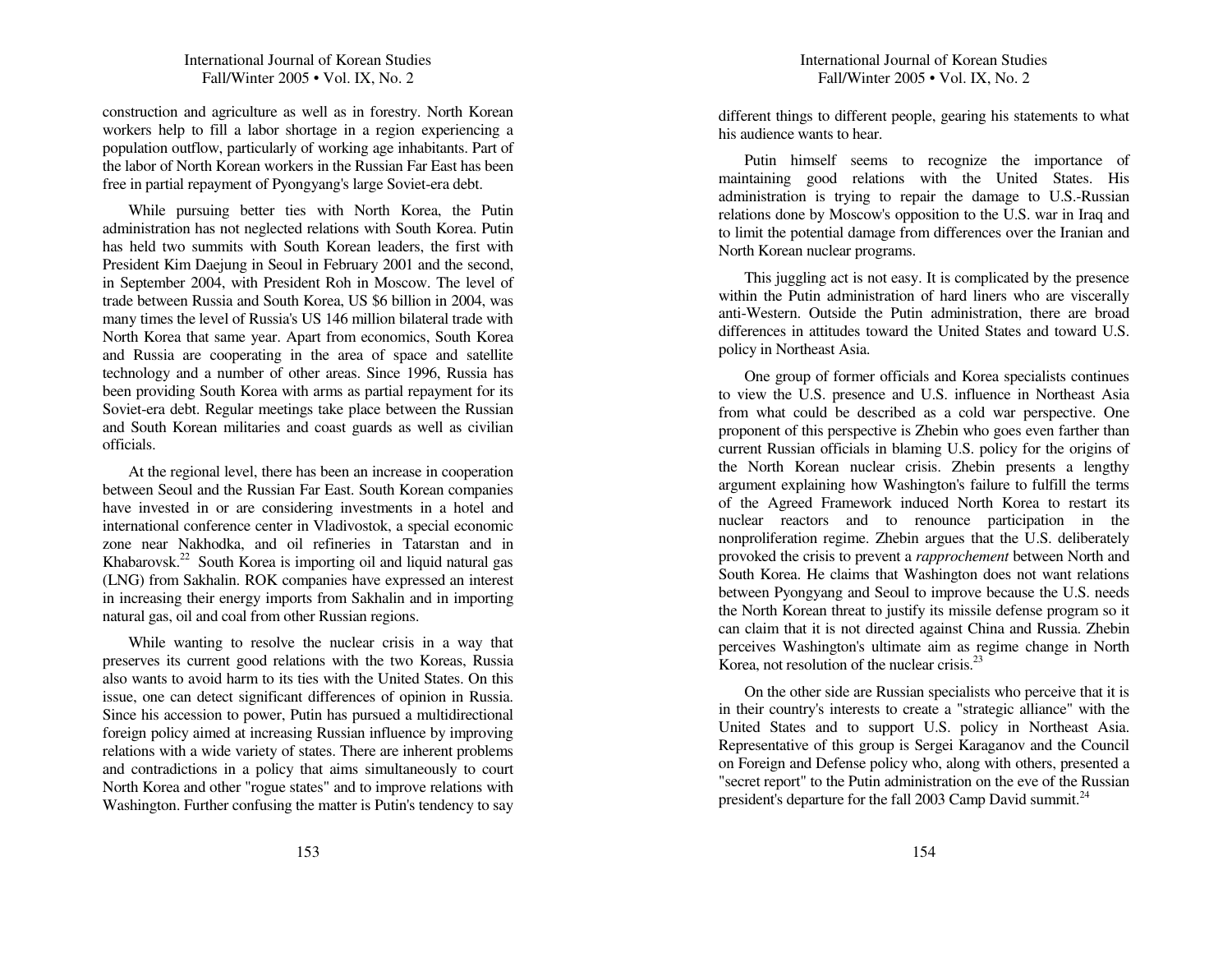construction an d agriculture as well as in forestry. North Korean workers help to fill <sup>a</sup> labor shortage in <sup>a</sup> region ex periencing <sup>a</sup> pop ulation outflow, particularly of working age in habitants. Part of the labor of North Korean workers in the R ussian Far East has been free in partial repay ment of P yongyang's large Soviet-era debt.

While p ursuing better ties with North Korea, the Putin ad ministration has not neglected relations with South Korea. Putin has held two summits with South Korean leaders, the first with President Kim Daejung in Seoul in February 2001 and the second, in September 2 0 0 4, with President Roh in Moscow. T he level of trade between Russia an d South Korea, U S \$6 billion in 2 0 0 4, was many times the level of R ussia's US 146 million bilateral trade withNorth Korea that same year. Apart from economics, South Korea an d R ussia are cooperating in the area of space an d satellite tech nology an d a n u mber of other areas. Since 1996, R ussia has been providing South Korea with arms as partial repayment for its Soviet-era debt. Regular meetings take place between the R ussian and South Korean militaries and coast guards as well as civilian officials.

At the regional level, there has been an increase in cooperation between Seoul an d the Russian Far East. South Korean companies have invested in or are considering investments in a hotel and international conference center in Vladivostok, <sup>a</sup> special economic zone near Nakhodka, an d oil refineries in Tatarstan an d in Khabarovsk.<sup>22</sup> South Korea is importing oil and liquid natural gas (LN G) from Sakhalin. ROK companies have ex pressed an interest in increasing their energy imports from Sakhalin an d in importing natural gas, oil an d coal from other R ussian regions.

While wanting to resolve the <sup>n</sup> uclear crisis in <sup>a</sup> way that preserves its current good relations with the two Koreas, R ussia also wants to avoid harm to its ties with the U nited States. On this issue, one can detect significant differences of opinion in Russia. Since his accession to power, Putin has p ursued <sup>a</sup> multidirectional foreign policy aimed at increasing R ussian influence b y improving relations with <sup>a</sup> wide variety of states. T here are in herent problems an d contradictions in <sup>a</sup> policy that aims simultaneously to court North Korea an d other "rogue states" an d to improve relations with Washington. Further confusing the matter is Putin's ten dency to say different things to different people, gearing his statements to <sup>w</sup> hat his audience wants to hear.

Putin himself seems to recognize the importance of maintaining good relations with the U nited States. His ad ministration is trying to repair the damage to U.S.-R ussian relations done by Moscow's op position to the U.S. war in Iraq an dto limit the potential damage from differences over the Iranian an d North Korean n uclear programs.

T his juggling act is not easy. It is complicated b y the presence within the P utin ad ministration of hard liners <sup>w</sup> ho are viscerally anti-Western. Outside the P utin ad ministration, there are broad differences in attitudes toward the United States and toward U.S. policy in Northeast Asia.

O ne grou p of former officials an d Korea specialists contin ues to view the U.S. presence an d U.S. influence in Northeast Asia from what could be described as a cold war perspective. One proponent of this perspective is Zhebin who goes even farther than current R ussian officials in blaming U.S. policy for the origins of the North Korean n uclear crisis. Zhebin presents <sup>a</sup> length y argu ment ex plaining how Washington's failure to fulfill the terms of the Agreed Framework in d uced North Korea to restart its nuclear reactors and to renounce participation in the nonproliferation regime. Z hebin argues that the U.S. deliberately provoked the crisis to preven<sup>t</sup> <sup>a</sup> *rapprochement* between North an dSouth Korea. He claims that Washington does not want relations between P yongyang an d Seoul to improve because the U.S. needs the North Korean threat to justify its missile defense program so it can claim that it is not directed against C hina an d Russia. Z hebin perceives Washington's ultimate aim as regime change in North Korea, not resolution of the nuclear crisis.<sup>23</sup>

On the other side are Russian specialists <sup>w</sup> ho perceive that it is in their cou ntry's interests to create <sup>a</sup> "strategic alliance" with the United States and to support U.S. policy in Northeast Asia. Representative of this group is Sergei Karaganov an d the Cou ncil on Foreign an d Defense policy w ho, along with others, presented <sup>a</sup> "secret report" to the P utin ad ministration on the eve of the Russianpresident's departure for the fall 2003 Camp David summit.<sup>24</sup>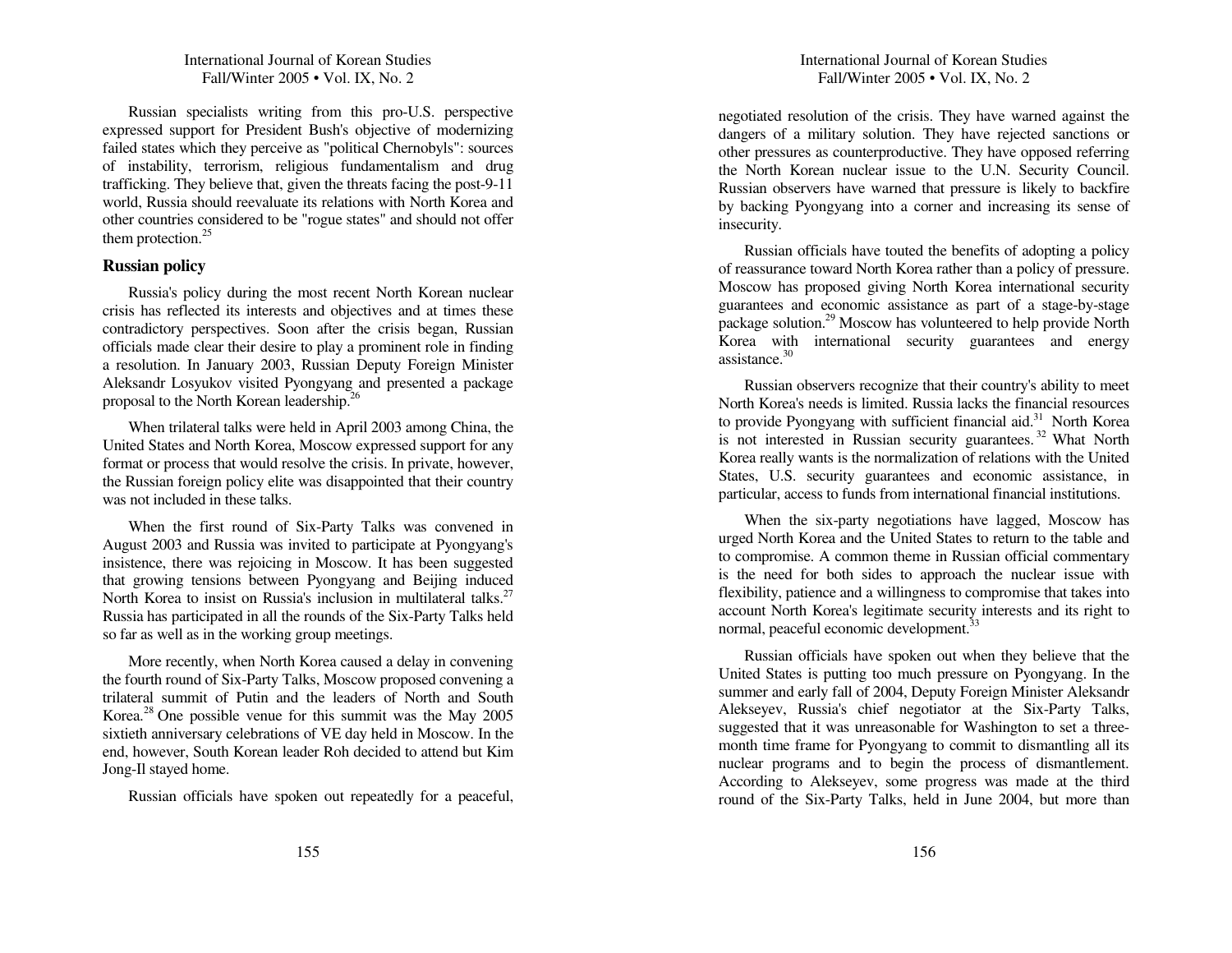R ussian specialists writing from this pro-U.S. perspective ex pressed sup port for President B ush's objective of modernizing failed states which they perceive as "political C hernob yls": sources of instability, terrorism, religious fu n damentalism an d drug trafficking. T hey believe that, given the threats facing the post-9-11 world, R ussia should reevaluate its relations with NorthKorea andother cou ntries considered to be "rogue states" an d should not offer them protection. $25$ 

#### **R ussia n p olicy**

R ussia's policy d uring the most recent North Korean n uclear crisis has reflected its interests an d objectives an d at times these contradictory perspectives. Soon after the crisis began, Russian officials made clear their desire to play <sup>a</sup> prominent role in fin ding a resolution. In January 2003, Russian Deputy Foreign Minister Aleksan dr Losy u kov visited P yongyang an d presented <sup>a</sup> package proposal to the North Korean leadership.<sup>26</sup>

When trilateral talks were held in A pril 2 0 03 among C hina, the United States and North Korea, Moscow expressed support for any format or process that would resolve the crisis. In private, however, the Russian foreign policy elite was disap pointed that their cou ntry was not included in these talks.

When the first rou n d of Six-Party Talks was con vened in Augus<sup>t</sup> 2 0 03 an d Russia was in vited to participate at P yongyang's insistence, there was rejoicing in Moscow. It has been suggested that growing tensions between P yongyang an d Beijing in d uced North Korea to insist on Russia's inclusion in multilateral talks.<sup>27</sup> Russia has participated in all the rounds of the Six-Party Talks held so far as well as in the working grou p meetings.

More recently, when North Korea caused a delay in convening the fourth rou n d of Six-Party Talks, Moscow proposed con vening <sup>a</sup> trilateral su mmit of Putin an d the leaders of North an d South Korea.<sup>28</sup> One possible venue for this summit was the May 2005 sixtieth an niversary celebrations of V E day held in Moscow. In the en d, however, South Korean leader Roh decided to atten d b ut Kim Jong-Il stayed home.

R ussian officials have spoken out repeatedly for <sup>a</sup> peaceful,

negotiated resolution of the crisis. T hey have warned against the dangers of <sup>a</sup> military solution. They have rejected sanctions or other pressures as cou nterprod uctive. T hey have op posed referring the North Korean nuclear issue to the U.N. Security Council. R ussian observers have warned that pressure is likely to backfire b y backing P yongyang into <sup>a</sup> corner an d increasing its sense of insecurity.

R ussian officials have touted the benefits of adopting <sup>a</sup> policy of reassurance toward North Korea rather than <sup>a</sup> policy of pressure. Moscow has proposed giving North Korea international security guarantees an d economic assistance as part of <sup>a</sup> stage-b y-stage package solution.<sup>29</sup> Moscow has volunteered to help provide North Korea with international security guarantees an d energy assistance. 30

Russian observers recognize that their cou ntry's ability to meet North Korea's needs is limited. R ussia lacks the financial resources to provide Pyongyang with sufficient financial aid.<sup>31</sup> North Korea is not interested in Russian security guarantees.<sup>32</sup> What North Korea really wants is the normalization of relations with the United States, U.S. security guarantees an d economic assistance, in particular, access to fu n ds from international financial institutions.

When the six-party negotiations have lagged, Moscow has urged North Korea an d the United States to return to the table an d to compromise. A common theme in Russian official commentary is the need for both sides to ap proach the <sup>n</sup> uclear issue with flexibility, patience an d <sup>a</sup> willingness to compromise that takes into accou nt North Korea's legitimate security interests an d its right to normal, peaceful economic development.<sup>33</sup>

Russian officials have spoken out <sup>w</sup> hen they believe that the U nited States is p utting too much pressure on P yongyang. In the su mmer an d early fall of 2 0 0 4, Dep uty Foreign Minister Aleksan dr Alekseyev, R ussia's chief negotiator at the Six-Party Talks, suggested that it was <sup>u</sup> nreasonable for Washington to set <sup>a</sup> threemonth time frame for Pyongyang to commit to dismantling all its n uclear programs an d to begin the process of dismantlement. According to Alekseyev, some progress was made at the third rou n d of the Six-Party Talks, held in Ju ne 2 0 0 4, b ut more than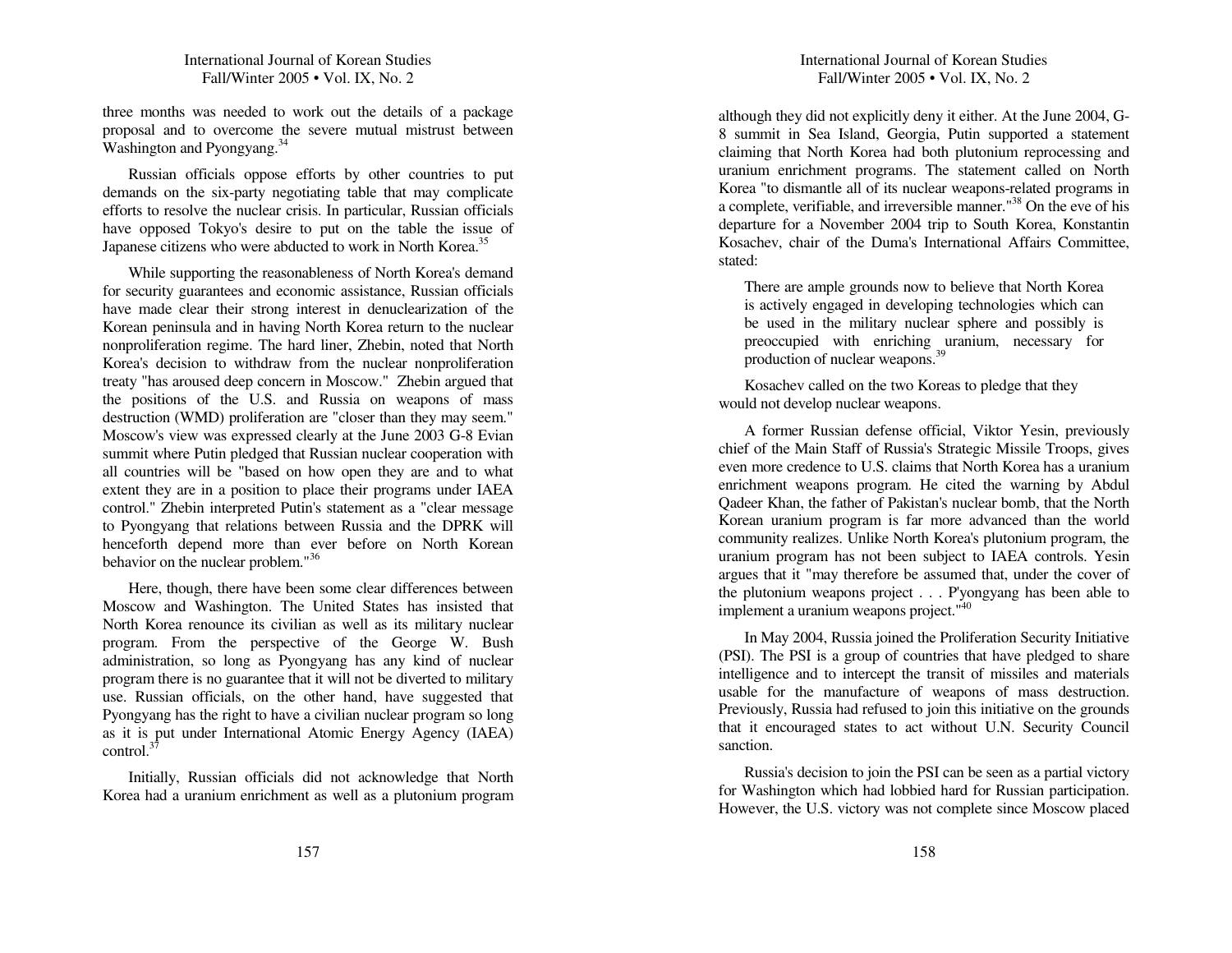three months was needed to work out the details of <sup>a</sup> package proposal an d to overcome the severe mutual mistrust between Washington and Pyongyang.<sup>34</sup>

R ussian officials op pose efforts b y other cou ntries to p ut demands on the six-party negotiating table that may complicate efforts to resolve the <sup>n</sup> uclear crisis. In particular, R ussian officials have op posed Tokyo's desire to p ut on the table the issue of Japanese citizens who were abducted to work in North Korea.<sup>35</sup>

While su p porting the reasonableness of North Korea's deman d for security guarantees an d economic assistance, R ussian officials have made clear their strong interest in denuclearization of the Korean peninsula an d in having North Korea return to the <sup>n</sup> uclear nonproliferation regime. T he hard liner, Zhebin, noted that North Korea's decision to with draw from the <sup>n</sup> uclear nonproliferation treaty "has aroused deep concern in Moscow." Z hebin argued that the positions of the U.S. an d R ussia on weapons of mass destruction (W MD) proliferation are "closer than they may seem." Moscow's view was ex pressed clearly at the Ju ne 2 0 03 G-8 E vian su mmit w here Putin pledged that R ussian n uclear cooperation with all cou ntries will be "based on how open they are an d to w hat extent they are in <sup>a</sup> position to place their programs <sup>u</sup> n der IAEAcontrol." Z hebin interpreted P utin's statement as a "clear message to Pyongyang that relations between Russia and the DPRK will henceforth depend more than ever before on North Korean behavior on the nuclear problem."<sup>36</sup>

Here, though, there have been some clear differences between Moscow an d Washington. T he United States has insisted that North Korea renou nce its civilian as well as its military n uclear program. From the perspective of the George W. B ush ad ministration, so long as P yongyang has an y kin d of nuclear program there is no guarantee that it will not be diverted to military use. Russian officials, on the other han d, have suggested that P yongyang has the right to have <sup>a</sup> civilian n uclear program so long as it is p ut under International Atomic Energy Agency (IA EA) control. $^{37}$ 

Initially, R ussian officials did not acknowledge that North Korea had <sup>a</sup> uraniu m enrich ment as well as <sup>a</sup> plutoniu mprogram

# International Journal of Korean Studies Fall/Winter 2005 • Vol. IX, No. 2

although they did not ex plicitly den y it either. At the Ju ne 2 0 0 4, G-8 su mmit in Sea Islan d, Georgia, P utin su p ported <sup>a</sup> statement claiming that North Korea had both plutoniu m reprocessing an d uranium enrich ment programs. T he statement called on NorthKorea "to dismantle all of its nuclear weapons-related programs in a complete, verifiable, and irreversible manner."<sup>38</sup> On the eve of his departure for <sup>a</sup> November 2 004 trip to South Korea, Konstantin Kosachev, chair of the Duma's International Affairs Committee, stated:

There are ample grounds now to believe that North Korea is actively engaged in developing tech nologies <sup>w</sup> hich can be used in the military nuclear sphere and possibly is preoccu pied with enriching uraniu m, necessary for production of nuclear weapons.<sup>39</sup>

Kosachev called on the two Koreas to pledge that they would not develop n uclear weapons.

A former R ussiandefense official, Viktor Yesin, previously chief of the Main Staff of Russia's Strategic Missile Troops, gives even more credence to U.S. claims that North Korea has <sup>a</sup> uraniu menrichment weapons program. He cited the warning by Abdul Qadeer Khan, the father of Pakistan's <sup>n</sup> uclear bomb, that the North Korean uraniu m program is far more ad vanced than the world commu nity realizes. U nlike North Korea's plutoniu mprogram, the uranium program has not been subject to IAEA controls. Yesin argues that it "may therefore be assu med that, <sup>u</sup> n der the cover of the plutoniu m weapons project . . . P'yongyang has been able to implement a uranium weapons project."<sup>40</sup>

In May 2 0 0 4, R ussia joined the Proliferation Security Initiative (P SI). The P SI is a group of cou ntries that have pledged to share intelligence an d to intercept the transit of missiles an d materials usable for the man ufacture of weapons of mass destruction. Previously, Russia had refused to join this initiative on the grounds that it encouraged states to act without U.N. Security Cou ncil sanction.

Russia's decision to join the P SI canbe seen as <sup>a</sup> partial victory for Washington w hich had lob bied hard for R ussian participation. However, the U.S. victory was not complete since Moscow placed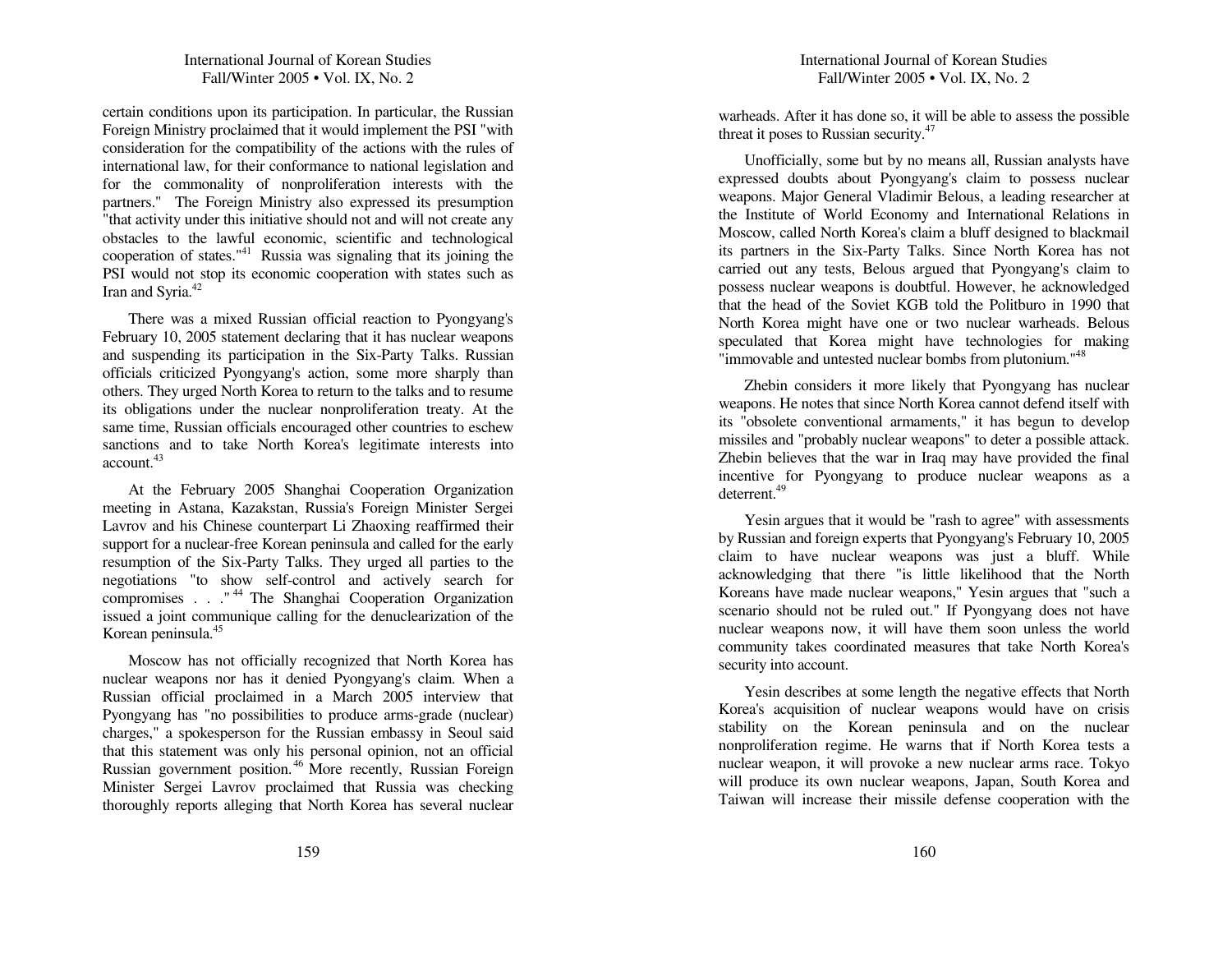certain con ditions u pon its participation. In particular, the R ussian Foreign Ministry proclaimed that it would implement the P SI "with consideration for the compatibility of the actions with the rules of international law, for their conformance to national legislation an d for the commonality of non proliferation interests with the partners." The Foreign Ministry also ex pressed its presu mption "that activity under this initiative should not and will not create any obstacles to the lawful economic, scientific an d tech nological cooperation of states." 41 R ussia was signaling that its joining the PSI would not stop its economic cooperation with states such as Iran and Syria.<sup>42</sup>

There was a mixed Russian official reaction to Pyongyang's February 10, 2 0 05 statement declaring that it has nuclear weapons an d suspen ding its participation in the Six-Party Talks. R ussian officials criticized P yongyang's action, some more sharply than others. They urged North Korea to return to the talks and to resume its obligations <sup>u</sup> n der the nuclear nonproliferation treaty. At the same time, R ussian officials encouraged other cou ntries to eschewsanctions an d to take North Korea's legitimate interests into account.<sup>43</sup>

At the February 2 0 05 S hanghai Cooperation Organization meeting in Astana, Kazakstan, R ussia's Foreign Minister Sergei Lavrov an d his Chinese cou nterpart Li Z haoxing reaffirmed their support for a nuclear-free Korean peninsula and called for the early resu mption of the Six-Party Talks. T hey urged all parties to the negotiations "to show self-control an d actively search for compromises . . . "<sup>44</sup> The Shanghai Cooperation Organization issued <sup>a</sup> joint commu niq ue calling for the den uclearization of the Korean peninsula. 45

Moscow has not officially recognized that North Korea has n uclear weapons nor has it denied P yongyang's claim. W hen a Russian official proclaimed in <sup>a</sup> March 2005 interview that P yongyang has "no possibilities to prod uce arms-grade (n uclear) charges," <sup>a</sup> spokesperson for the R ussian embassy in Seoul said that this statement was only his personal opinion, not an official R ussian govern ment position. 46 More recently, R ussian Foreign Minister Sergei Lavrov proclaimed that R ussia was checking thoroughly reports alleging that North Korea has several <sup>n</sup>uclear International Journal of Korean Studies Fall/Winter 2005 • Vol. IX, No. 2

warheads. After it has done so, it will be able to assess the possible threat it poses to Russian security.<sup>47</sup>

Unofficially, some b ut b y no means all, R ussian analysts have ex pressed dou bts about P yongyang's claim to possess nuclear weapons. Major General Vladimir Belous, <sup>a</sup> leading researcher at the Institute of World Economy and International Relations in Moscow, called North Korea's claim <sup>a</sup> bluff designed to blackmail its partners in the Six-Party Talks. Since North Korea has not carried out an y tests, Belous argued that P yongyang's claim to possess <sup>n</sup> uclear weapons is dou btful. However, he ack nowledged that the head of the Soviet KG B told the Politb uro in 1990 that North Korea might have one or two nuclear warheads. Belous speculated that Korea might have tech nologies for making "immovable and untested nuclear bombs from plutonium."<sup>48</sup>

Z hebin considers it more likely that P yongyang has <sup>n</sup> uclear weapons. He notes that since North Korea can not defen d itself with its "obsolete con ventional armaments," it has begu n to develop missiles and "probably nuclear weapons" to deter <sup>a</sup> possible attack. Z hebin believes that the war in Iraq may have provided the final incentive for P yongyang to prod uce n uclear weapons as <sup>a</sup> deterrent.<sup>49</sup>

Yesin argues that it would be "rash to agree" with assessments b y R ussian an d foreign ex perts that P yongyang's February 10, 2 0 05 claim to have <sup>n</sup> uclear weapons was just <sup>a</sup> bluff. W hileacknowledging that there "is little likelihood that the North Koreans have made <sup>n</sup> uclear weapons," Yesin argues that "such <sup>a</sup> scenario should not be ruled out." If P yongyang does not have nuclear weapons now, it will have them soon unless the world commu nity takes coordinated measures that take North Korea's security into accou nt.

Yesin describes at some length the negative effects that North Korea's acq uisition of <sup>n</sup> uclear weapons would have on crisis stability on the Korean peninsula an d on the <sup>n</sup> uclear nonproliferation regime. He warns that if North Korea tests a n uclear weapon, it will provoke <sup>a</sup> new n uclear arms race. Tokyo will produce its own nuclear weapons, Japan, South Korea and Taiwan will increase their missile defense cooperation with the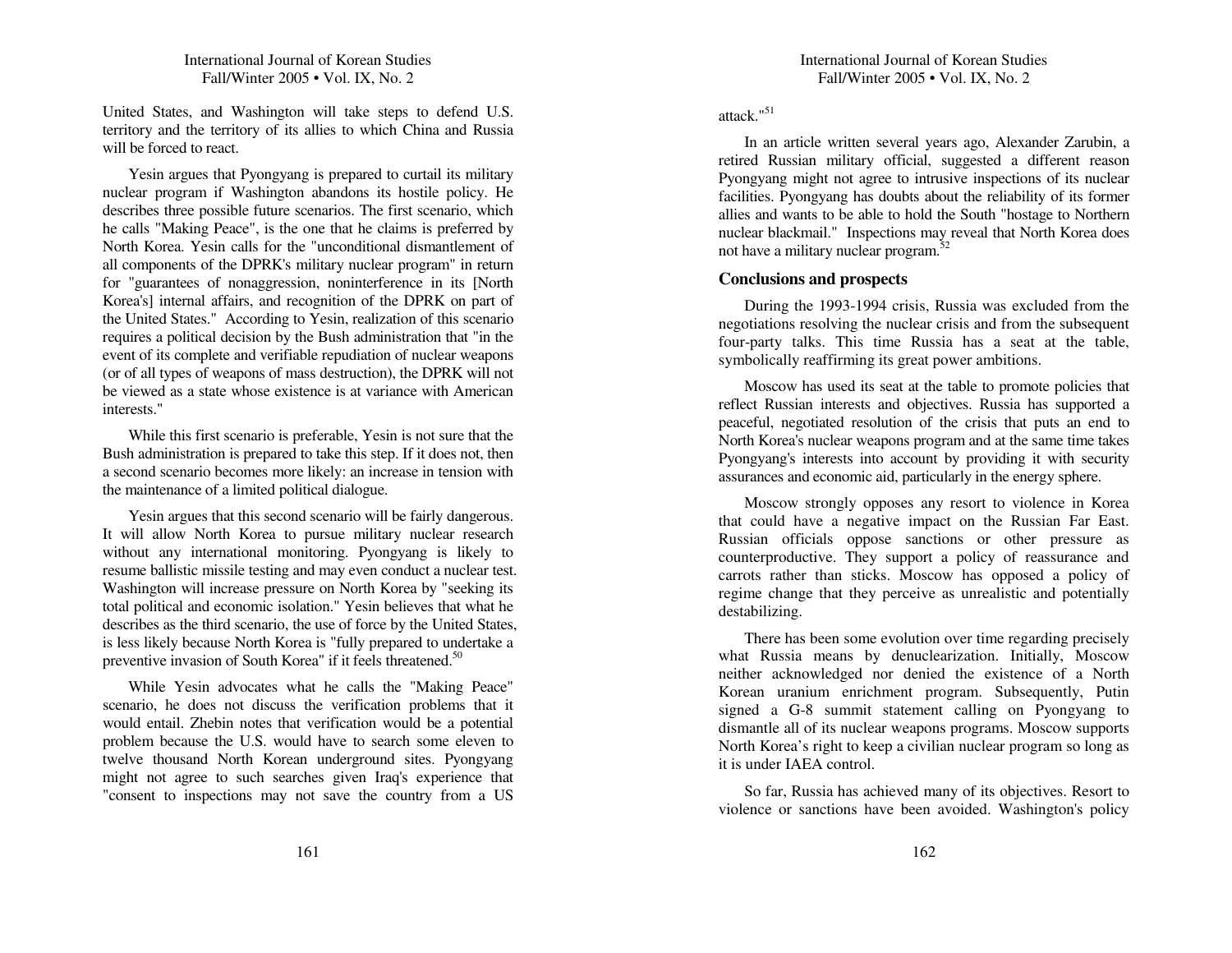U nited States, an d Washington will take steps to defen d U.S. territory an d the territory of its allies to <sup>w</sup> hich C hina an d Russia will be forced to react.

Yesin argues that P yongyang is prepared to curtail its military n uclear program if Washington aban dons its hostile policy. He describes three possible future scenarios. The first scenario, <sup>w</sup> hich he calls "Making Peace", is the one that he claims is preferred b y North Korea. Yesin calls for the "unconditional dismantlement of all components of the D PRK's military n uclear program" in return for "guarantees of nonaggression, noninterference in its [North Korea's] internal affairs, an d recognition of the D P RK on par<sup>t</sup> of the United States." According to Yesin, realization of this scenario req uires a political decision b y the B ush ad ministration that "in the event of its complete an d verifiable rep u diation of <sup>n</sup> uclear weapons (or of all ty pes of weapons of mass destruction), the D P RKwill not be viewed as a state whose existence is at variance with American interests."

While this first scenario is preferable, Yesin is not sure that the B ush ad ministration is prepared to take this step. If it does not, then a secon d scenario becomes more likely: an increase in tension with the maintenance of <sup>a</sup> limited political dialogue.

Yesin argues that this secon d scenario will be fairly dangerous. It will allow North Korea to pursue military nuclear research without an y international monitoring. P yongyang is likely to resu me ballistic missile testing an d may even con d uct a n uclear test. Washington will increase pressure on North Korea b y "seeking its total political an d economic isolation." Yesin believes that <sup>w</sup>hat he describes as the third scenario, the use of force b y the U nited States, is less likely because North Korea is "fully prepared to <sup>u</sup> n dertake a preventive invasion of South Korea" if it feels threatened.<sup>50</sup>

While Yesin ad vocates w hat he calls the "Making Peace" scenario, he does not discuss the verification problems that it would entail. Zhebin notes that verification would be <sup>a</sup> potential problem because the U.S. would have to search some eleven to twelve thousan d North Korean u n dergrou n d sites. Pyongyang might not agree to such searches given Iraq's ex perience that "consent to inspections may not save the country from a US

attack." 51

In an article written several years ago, Alexan der Zaru bin, <sup>a</sup> retired R ussian military official, suggested <sup>a</sup> different reason P yongyang might not agree to intrusive inspections of its nuclear facilities. P yongyang has dou bts about the reliability of its former allies andwants to be able to hold the South "hostage to Northern n uclear blackmail." Inspections may reveal that North Korea does not have a military nuclear program.<sup>52</sup>

### **C o nclusio ns a n d prospects**

D uring the 1993-1994 crisis, R ussia was exclu ded from the negotiations resolving the <sup>n</sup> uclear crisis an d from the su bseq uent four-party talks. T his time Russia has <sup>a</sup> seat at the table, sy mbolically reaffirming its grea<sup>t</sup> power ambitions.

Moscow has used its seat at the table to promote policies that reflect Russian interests an d objectives. R ussia has su p ported <sup>a</sup> peaceful, negotiated resolution of the crisis that p uts an en d to North Korea's n uclear weapons program an d at the same time takes P yongyang's interests into accou nt b y providing it with security assurances an d economic aid, particularly in the energy sp here.

Moscow strongly op poses an y resort to violence in Korea that could have <sup>a</sup> negative impact on the R ussian Far East. R ussian officials op pose sanctions or other pressure as cou nterprod uctive. They su p por<sup>t</sup> <sup>a</sup> policy of reassurance an d carrots rather than sticks. Moscow has op posed <sup>a</sup> policy of regime change that they perceive as <sup>u</sup> nrealistic an d potentially destabilizing.

There has been some evolution over time regarding precisely w hat R ussia means b y den uclearization. Initially, Moscow neither acknowledged nor denied the existence of <sup>a</sup> North Korean uraniu m enrich ment program. S u bseq uently, P utin signed a G-8 summit statement calling on Pyongyang to dismantle all of its <sup>n</sup> uclear weapons programs. Moscow su p ports North Korea's right to keep <sup>a</sup> civilian n uclear program so long as it is under IAEA control.

So far, R ussia has achieved man y of its objectives. Resort to violence or sanctions have been avoided. Washington's policy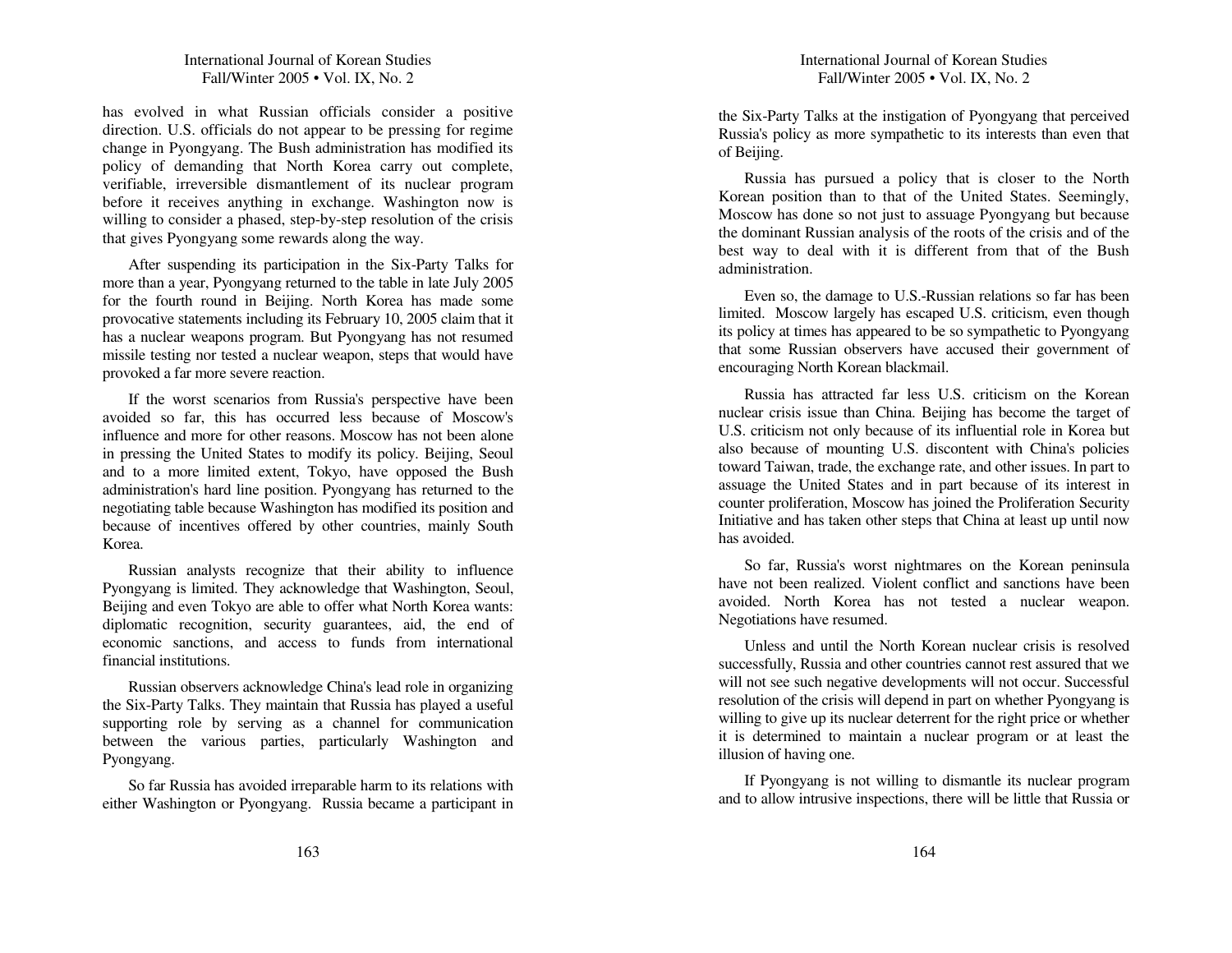# International Journal of Korean Studies Fall/Winter 2005 • Vol. IX, No. 2

has evolved in what Russian officials consider <sup>a</sup> positive direction. U.S. officials do not ap pear to be pressing for regime change in Pyongyang. T he Bush ad ministration has modified its policy of deman ding that North Korea carry out complete, verifiable, irreversible dismantlement of its <sup>n</sup> uclear program before it receives anything in exchange. Washington now is willing to consider <sup>a</sup> p hased, step-b y-step resolution of the crisis that gives P yongyang some rewards along the way.

After suspen ding its participation in the Six-Party Talks for more than <sup>a</sup> year, P yongyang returned to the table in late July 2 0 05 for the fourth rou n d in Beijing. North Korea has made some provocative statements inclu ding its February 10, 2 005 claim that it has a n uclear weapons program. B ut P yongyang has not resu med missile testing nor tested <sup>a</sup> <sup>n</sup> uclear weapon, steps that would have provoked <sup>a</sup> far more severe reaction.

If the worst scenarios from R ussia's perspective have been avoided so far, this has occurred less because of Moscow's influence and more for other reasons. Moscow has not been alone in pressing the U nited States to modify its policy. Beijing, Seoul an d to <sup>a</sup> more limited extent, Tokyo, have op posed the B ush ad ministration's hard line position. P yongyang has returned to the negotiating table because Washington has modified its position an d because of incentives offered b y other cou ntries, mainly South Korea.

R ussian analysts recognize that their ability to influence P yongyang is limited. T hey acknowledge that Washington, Seoul, Beijing an d even Tokyo are able to offer <sup>w</sup> hat North Korea wants: diplomatic recognition, security guarantees, aid, the en d of economic sanctions, and access to funds from international financial institutions.

R ussian observers acknowledge C hina's lead role in organizing the Six-Party Talks. T hey maintain that R ussia has played <sup>a</sup> useful su p porting role b y serving as <sup>a</sup> chan nel for commu nication between the various parties, particularly Washington an d Pyongyang.

So far R ussia has avoided irreparable harm to its relations with either Washington or P yongyang. R ussia became <sup>a</sup> participant in

the Six-Party Talks at the instigation of P yongyang that perceived R ussia's policy as more sy mpathetic to its interests than even that of Beijing.

R ussia has p ursued <sup>a</sup> policy that is closer to the North Korean position than to that of the U nited States. Seemingly, Moscow has done so not just to assuage P yongyang b ut because the dominant Russian analysis of the roots of the crisis an d of the best way to deal with it is different from that of the B ush administration.

E ven so, the damage to U.S.-R ussian relations so far has been limited. Moscow largely has escaped U.S. criticism, even though its policy at times has ap peared to be so sy mpathetic to P yongyang that some R ussian observers have accused their govern ment of encouraging North Korean blackmail.

Russia has attracted far less U.S. criticism on the Korean n uclear crisis issue than C hina. Beijing has become the target of U.S. criticism not only because of its influential role in Korea but also because of mou nting U.S. discontent with C hina's policies toward Taiwan, trade, the exchange rate, an d other issues. In part to assuage the U nited States an d in part because of its interest in cou nter proliferation, Moscow has joined the Proliferation Security Initiative and has taken other steps that China at least up until now has avoided.

So far, R ussia's worst nightmares on the Korean peninsula have not been realized. Violent conflict an d sanctions have been avoided. North Korea has not tested a n uclear weapon. Negotiations have resu med.

Unless and until the North Korean nuclear crisis is resolved successfully, R ussia and other cou ntries cannot rest assured that we will not see such negative develop ments will not occur. S uccessful resolution of the crisis will depen d in part on whether Pyongyang is willing to give <sup>u</sup> p its <sup>n</sup> uclear deterrent for the right price or <sup>w</sup> hether it is determined to maintain <sup>a</sup> <sup>n</sup> uclear program or at least the illusion of having one.

If P yongyang is not willing to dismantle its <sup>n</sup> uclear program an d to allow intrusive inspections, there will be little that R ussia or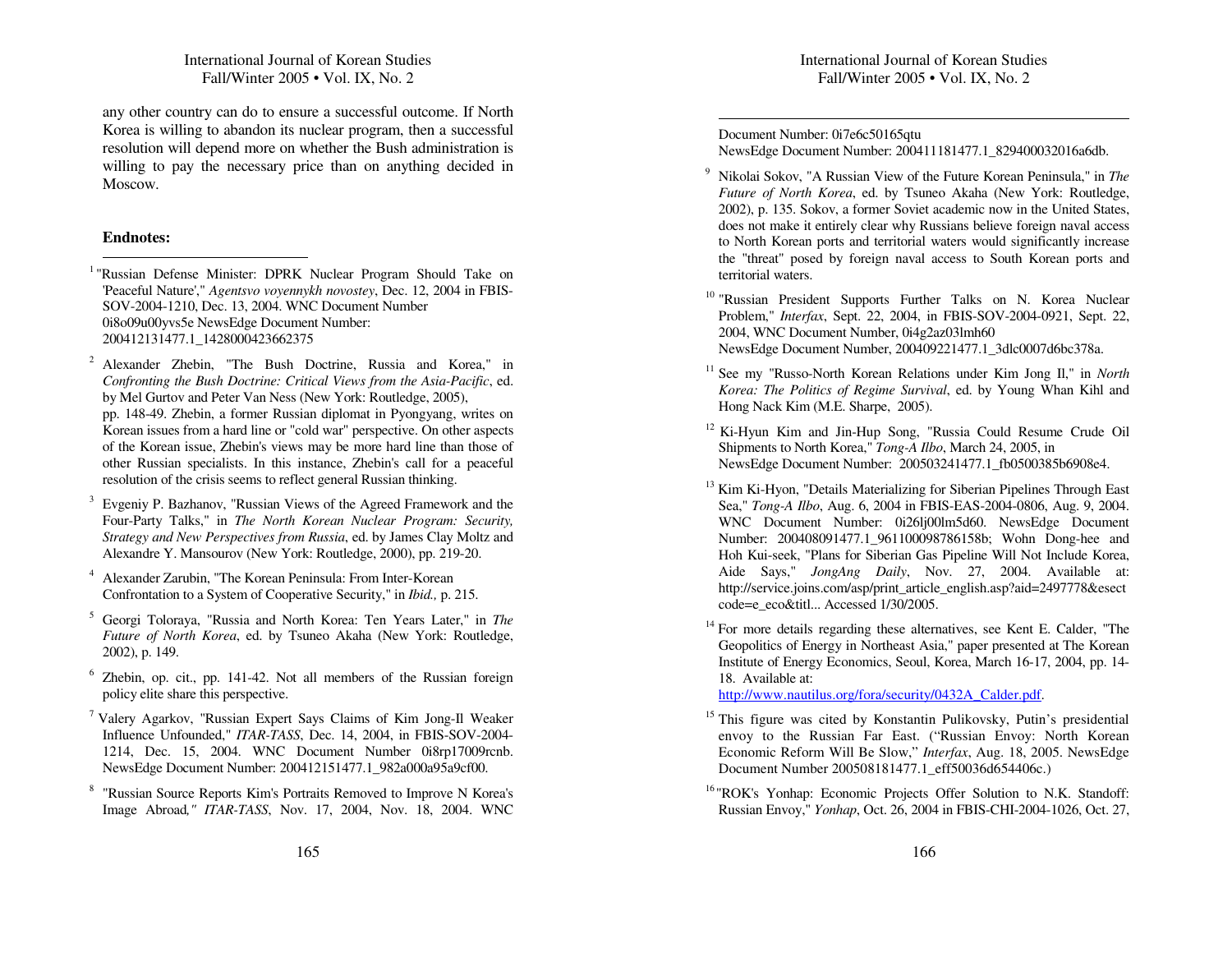an y other cou ntry can do to ensure <sup>a</sup> successful outcome. If North Korea is willing to aban don its <sup>n</sup> uclear program, then <sup>a</sup> successful resolution will depend more on whether the Bush administration is willing to pay the necessary price than on anything decided in Moscow.

#### **Endnotes:**

- <sup>1</sup> "Russian Defense Minister: DPRK Nuclear Program Should Take on 'Peaceful Nature'," *Agentsvo voyennykh novostey*, Dec. 12, 2004 in F BIS-SOV-2004-1210, Dec. 13, 2004. WN CDocument Number0i8o09u00yvs5e NewsEdge Document Number: 200412131477.1\_1428000423662375
- <sup>2</sup> Alexander Zhebin, "The Bush Doctrine, Russia and Korea," in *Confronting the Bush Doctrine: Critical Views from the Asia-Pacific*, ed. by Mel Gurtov and Peter Van Ness (New York: Routledge, 2005), pp. 148-49. Zhebin, <sup>a</sup> former Russian diplomat in Pyongyang, writes on Korean issues from <sup>a</sup> hard line or "cold war" perspective. On other aspects of the Korean issue, Zhebin's views may be more hard line than those of other Russian specialists. In this instance, Zhebin's call for <sup>a</sup> peaceful resolution of the crisis seems to reflect general Russian thinking.
- 3 Evgeniy P. Bazhanov, "Russian Views of the Agreed Framework and the Four-Party Talks," in *The North Korean Nuclear Program: Security, Strategy and NewPerspectives from Russia*, ed. by James Clay Moltz and Alexandre Y. Mansourov (New York: Routledge, 2000), pp. 219-20.
- 4 Alexander Zarubin, "The Korean Peninsula: From Inter-Korean Confrontation to <sup>a</sup> System of Cooperative Security," in *Ibid.,* p. 215.
- 5 Georgi Toloraya, "Russia and North Korea: Ten Years Later," in *The Future of North Korea*, ed. by Tsuneo A kaha (New York: Routledge, 2002), p. 149.
- $6$  Zhebin, op. cit., pp. 141-42. Not all members of the Russian foreign policy elite share this perspective.
- <sup>7</sup> Valery Agarkov, "Russian Expert Says Claims of Kim Jong-Il Weaker Influence Unfounded," *ITA R-TASS*, Dec. 14, 2004, in F BIS-SOV-2004- 1214, Dec. 15, 2004. WNC Document Number 0i8rp17009rcnb. NewsEdge Document Number: 200412151477.1\_982a000a95a9cf00.
- <sup>8</sup> "Russian Source Reports Kim's Portraits Removed to Improve N Korea's Image Abroad*," ITA R-TASS*, Nov. 17, 2004, Nov. 18, 2004. WN C

Document Number: 0i7e6c50165qtu NewsEdge Document Number: 200411181477.1\_829400032016a6db.

- 9 Nikolai Sokov, "A Russian View of the Future Korean Peninsula," in *The Future of North Korea*, ed. by Tsuneo A kaha (New York: Routledge, 2002), p. 135. Sokov, <sup>a</sup> former Soviet academic now in the United States, does not make it entirely clear why Russians believe foreign naval access to North Korean ports and territorial waters would significantly increase the "threat" posed by foreign naval access to South Korean ports and territorial waters.
- <sup>10</sup> "Russian President Supports Further Talks on N. Korea Nuclear Problem," *Interfax*, Sept. 22, 2004, in F BIS-SO V-2004-0921, Sept. 22, 2004, WN C Document Number, 0i4g2az03lmh60 NewsEdge Document Number, 200409221477.1\_3dlc0007d6bc378a.
- 11 See my "Russo-North Korean Relations under Kim Jong Il," in *North Korea: The Politics of Regime Survival*, ed. by Young Whan Kihl and Hong Nack Kim (M.E. Sharpe, 2005).
- <sup>12</sup> Ki-Hyun Kim and Jin-Hup Song, "Russia Could Resume Crude Oil Shipments to North Korea," *Tong-A Ilbo*, March 24, 2005, in NewsEdge Document Number: 200503241477.1\_fb0500385b6908e4.
- <sup>13</sup> Kim Ki-Hyon, "Details Materializing for Siberian Pipelines Through East Sea," *Tong-A Ilbo*, Aug. 6, 2004 in F BIS-EAS-2004-0806, Aug. 9, 2004. WNCDocument Number: 0i26lj00lm5d60. NewsEdge Document Number: 200408091477.1\_961100098786158b; Wohn Dong-hee and Hoh Kui-seek, "Plans for Siberian Gas Pipeline Will Not Include Korea, Aide Says," *JongAng Daily*, Nov. 27, 2004. Available at: http://service.joins.com/asp/print\_article\_english.asp?aid=2497778&esect code=e\_eco&titl... Accessed 1/30/2005.
- <sup>14</sup> For more details regarding these alternatives, see Kent E. Calder, "The Geopolitics of Energy in Northeast Asia," paper presented at The Korean Institute of Energy Economics, Seoul, Korea, March 16-17, 2004, pp. 14- 18. Available at:

http://w ww.nautilus.org/fora/security/0432A Calder.pdf.

- <sup>15</sup> This figure was cited by Konstantin Pulikovsky, Putin's presidential envoy to the Russian Far East. ("Russian Envoy: North Korean Economic Reform Will Be Slow," *Interfax*, Aug. 18, 2005. NewsEdge Document Number 200508181477.1\_eff50036d654406c.)
- <sup>16</sup> "ROK's Yonhap: Economic Projects Offer Solution to N.K. Standoff: Russian Envoy," *Yonhap*, Oct. 26, 2004 in F BIS-CHI-2004-1026, Oct. 27,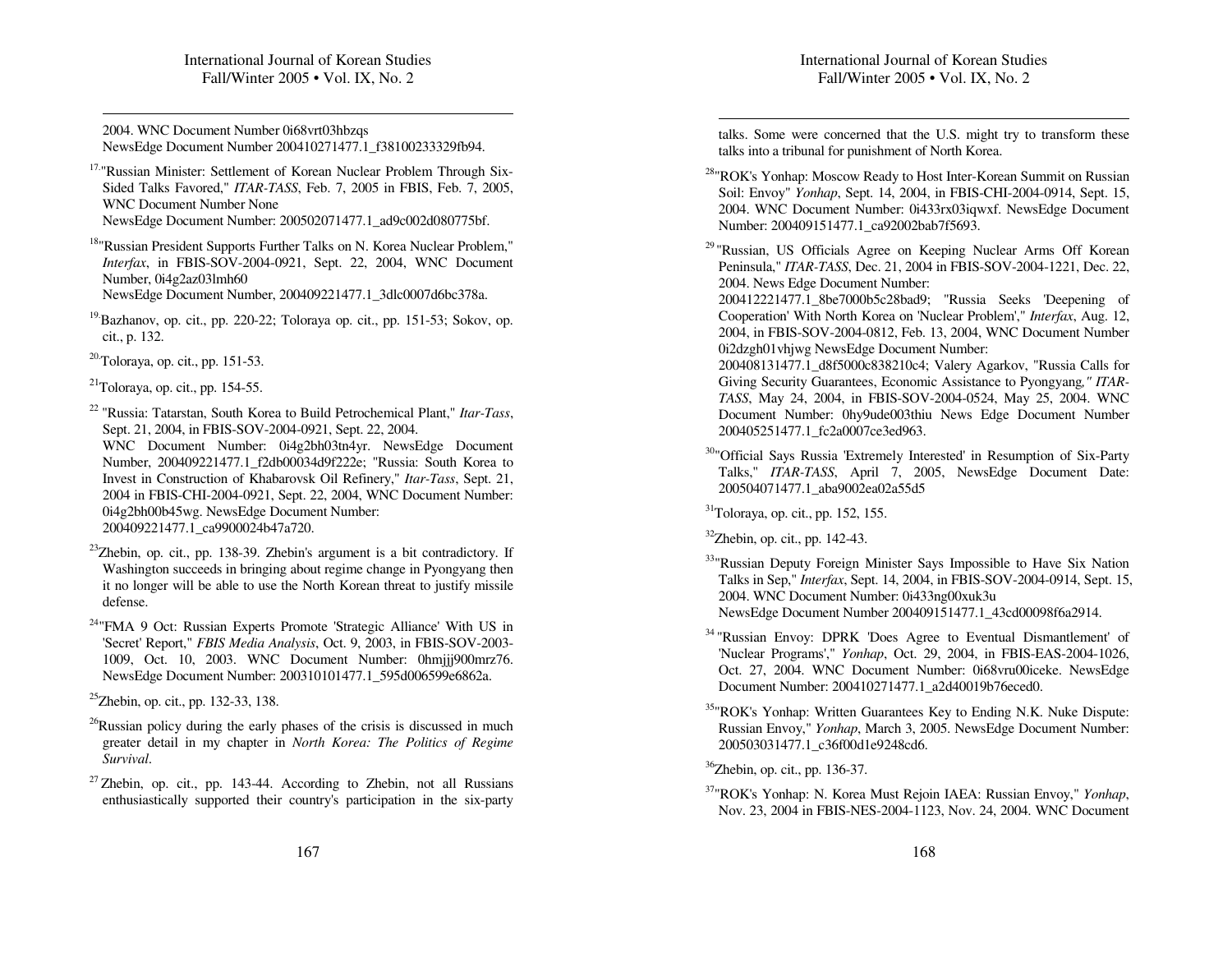2004. WNC Document Number 0i68vrt03hbzqs NewsEdge Document Number 200410271477.1\_f38100233329fb94.

<sup>17.</sup>"Russian Minister: Settlement of Korean Nuclear Problem Through Six-Sided Talks Favored," *ITA R-TASS*, Feb. 7, 2005 in F BIS, Feb. 7, 2005, WNC Document Number None NewsEdge Document Number: 200502071477.1\_ad9c002d080775bf.

<sup>18</sup> "Russian President Supports Further Talks on N. Korea Nuclear Problem," *Interfax*, in FBIS-SOV-2004-0921, Sept. 22, 2004, WNC Document Number, 0i4g2az03lmh60 NewsEdge Document Number, 200409221477.1\_3dlc0007d6bc378a.

<sup>19.</sup>Bazhanov, op. cit., pp. 220-22; Toloraya op. cit., pp. 151-53; Sokov, op. cit., p. 132.

<sup>20.</sup>Toloraya, op. cit., pp. 151-53.

 $^{21}$ Toloraya, op. cit., pp. 154-55.

22 "Russia: Tatarstan, South Korea to Build Petrochemical Plant," *Itar-Tass*, Sept. 21, 2004, in F BIS-SOV-2004-0921, Sept. 22, 2004. WNC Document Number: 0i4g2bh03tn4yr. NewsEdge Document Number, 200409221477.1\_f2db00034d9f222e; "Russia: South Korea to Invest in Construction of Khabarovsk Oil Refinery," *Itar-Tass*, Sept. 21, 2004 in FBIS-CHI-2004-0921, Sept. 22, 2004, WN CDocument Number: 0i4g2bh00b45wg. NewsEdge Document Number: 200409221477.1\_ca9900024b47a720.

<sup>23</sup>Zhebin, op. cit., pp. 138-39. Zhebin's argument is a bit contradictory. If Washington succeeds in bringing about regime change in Pyongyang then it no longer will be able to use the North Korean threat to justify missile defense.

<sup>24</sup>"FMA 9 Oct: Russian Experts Promote 'Strategic Alliance' With US in 'Secret' Report," *FBIS Media Analysis*, Oct. 9, 2003, in F BIS-SOV-2003- 1009, Oct. 10, 2003. WNC Document Number: 0hmjjj900mrz76. NewsEdge Document Number: 200310101477.1\_595d006599e6862a.

<sup>25</sup>Zhebin, op. cit., pp. 132-33, 138.

<sup>26</sup>Russian policy during the early phases of the crisis is discussed in much greater detail in my chapter in *North Korea: The Politics of Regime Survival*.

 $27$  Zhebin, op. cit., pp. 143-44. According to Zhebin, not all Russians enthusiastically supported their country's participation in the six-party talks. Some were concerned that the U.S. might try to transform these talks into <sup>a</sup> tribunal for punishment of North Korea.

<sup>28</sup>"ROK's Yonhap: Moscow Ready to Host Inter-Korean Summit on Russian Soil: Envoy" *Yonhap*, Sept. 14, 2004, in F BIS-CHI-2004-0914, Sept. 15, 2004. WNC Document Number: 0i433rx03iqwxf. NewsEdge Document Number: 200409151477.1\_ca92002bab7f5693.

<sup>29</sup> "Russian, US Officials Agree on Keeping Nuclear Arms Off Korean Peninsula," *ITA R-TASS*, Dec. 21, 2004 in F BIS-SOV-2004-1221, Dec. 22, 2004. News Edge Document Number:

200412221477.1\_8be7000b5c28bad9; "Russia Seeks 'Deepening of Cooperation' With North Korea on 'Nuclear Problem'," *Interfax*, Aug. 12, 2004, in F BIS-SO V-2004-0812, Feb. 13, 2004, WN C Document Number 0i2dzgh01vhjwg NewsEdge Document Number:

200408131477.1\_d8f5000c838210c4; Valery Agarkov, "Russia Calls for Giving Security Guarantees, Economic Assistance to Pyongyang*," ITA R-TASS*, May 24, 2004, in FBIS-SO V-2004-0524, May 25, 2004. WN CDocument Number: 0hy9ude003thiu News Edge Document Number 200405251477.1\_fc2a0007ce3ed963.

<sup>30</sup>"Official Says Russia 'Extremely Interested' in Resumption of Six-Party Talks," *ITA R-TASS*, April 7, 2005, NewsEdge Document Date: 200504071477.1\_aba9002ea02a55d5

<sup>31</sup>Toloraya, op. cit., pp. 152, 155.

 $32$ Zhebin, op. cit., pp. 142-43.

- <sup>33</sup> "Russian Deputy Foreign Minister Says Impossible to Have Six Nation Talks in Sep," *Interfax*, Sept. 14, 2004, in F BIS-SOV-2004-0914, Sept. 15, 2004. WN C Document Number: 0i433ng00xuk3u NewsEdge Document Number 200409151477.1\_43cd00098f6a2914.
- <sup>34</sup> "Russian Envoy: DPRK 'Does Agree to Eventual Dismantlement' of 'Nuclear Programs'," *Yonhap*, Oct. 29, 2004, in F BIS-EAS-2004-1026, Oct. 27, 2004. WNC Document Number: 0i68vru00iceke. NewsEdge Document Number: 200410271477.1\_a2d40019b76eced0.
- <sup>35</sup>"ROK's Yonhap: Written Guarantees Key to Ending N.K. Nuke Dispute: Russian Envoy," *Yonhap*, March 3, 2005. NewsEdge Document Number: 200503031477.1\_c36f00d1e9248cd6.

<sup>36</sup>Zhebin, op. cit., pp. 136-37.

37 "R O K's Yonhap: N. Korea Must Rejoin IA E A: Russian Envoy," *Yonhap*, Nov. 23, 2004 in F BIS-N ES-2004-1123, Nov. 24, 2004. WN C Document